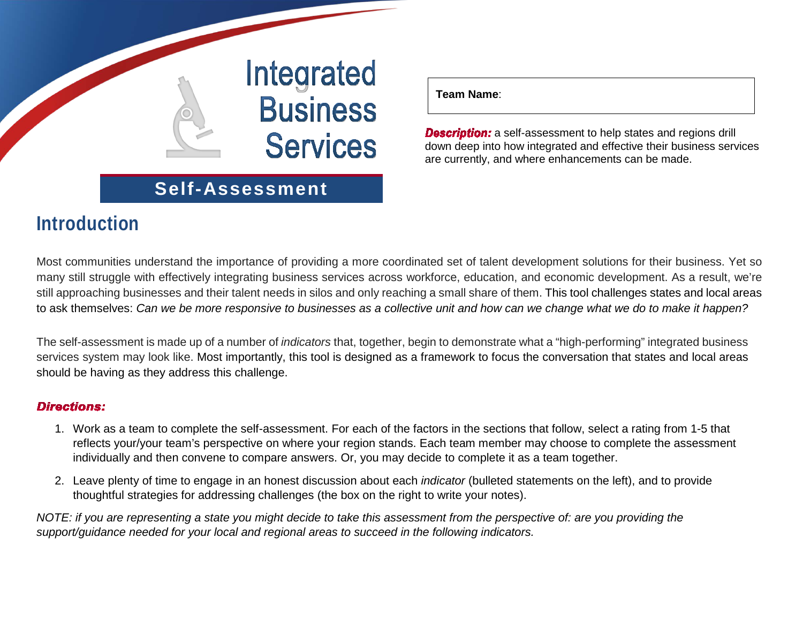

### **Self-Assessment**

### **Introduction**

**Team Name**:

**Description:** a self-assessment to help states and regions drill down deep into how integrated and effective their business services are currently, and where enhancements can be made.

Most communities understand the importance of providing a more coordinated set of talent development solutions for their business. Yet so many still struggle with effectively integrating business services across workforce, education, and economic development. As a result, we're still approaching businesses and their talent needs in silos and only reaching a small share of them. This tool challenges states and local areas to ask themselves: *Can we be more responsive to businesses as a collective unit and how can we change what we do to make it happen?* 

The self-assessment is made up of a number of *indicators* that, together, begin to demonstrate what a "high-performing" integrated business services system may look like. Most importantly, this tool is designed as a framework to focus the conversation that states and local areas should be having as they address this challenge.

#### **Directions:**

- 1. Work as a team to complete the self-assessment. For each of the factors in the sections that follow, select a rating from 1-5 that reflects your/your team's perspective on where your region stands. Each team member may choose to complete the assessment individually and then convene to compare answers. Or, you may decide to complete it as a team together.
- 2. Leave plenty of time to engage in an honest discussion about each *indicator* (bulleted statements on the left), and to provide thoughtful strategies for addressing challenges (the box on the right to write your notes).

*NOTE: if you are representing a state you might decide to take this assessment from the perspective of: are you providing the support/guidance needed for your local and regional areas to succeed in the following indicators.*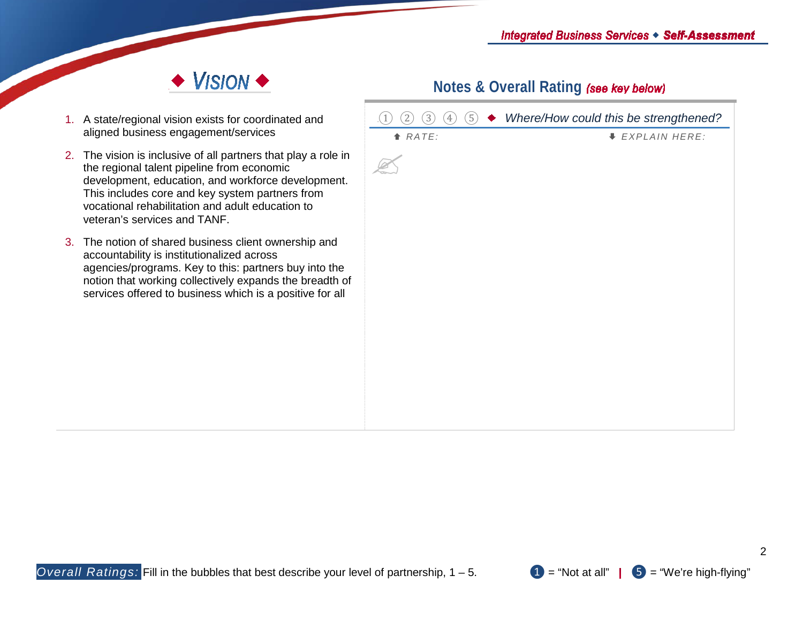

- 1. A state/regional vision exists for coordinated and aligned business engagement/services
- 2. The vision is inclusive of all partners that play a role the regional talent pipeline from economic development, education, and workforce development This includes core and key system partners from vocational rehabilitation and adult education to veteran's services and TANF.
- 3. The notion of shared business client ownership and accountability is institutionalized across agencies/programs. Key to this: partners buy into the notion that working collectively expands the breadth services offered to business which is a positive for all

| ◆ Where/How could this be strengthened? | $\overline{\textcircled{\textsf{5}}}$<br>$\left(3\right)$<br>$\left( 4\right)$<br>$\mathbbm{1}$<br>$\overline{2}$ |         |
|-----------------------------------------|-------------------------------------------------------------------------------------------------------------------|---------|
| <b>↓ EXPLAIN HERE:</b>                  | A <i>RATE</i> :                                                                                                   |         |
|                                         |                                                                                                                   | in      |
|                                         |                                                                                                                   | it.     |
|                                         |                                                                                                                   |         |
|                                         |                                                                                                                   |         |
|                                         |                                                                                                                   |         |
|                                         |                                                                                                                   | e<br>of |
|                                         |                                                                                                                   | II      |
|                                         |                                                                                                                   |         |
|                                         |                                                                                                                   |         |
|                                         |                                                                                                                   |         |
|                                         |                                                                                                                   |         |
|                                         |                                                                                                                   |         |
|                                         |                                                                                                                   |         |
|                                         |                                                                                                                   |         |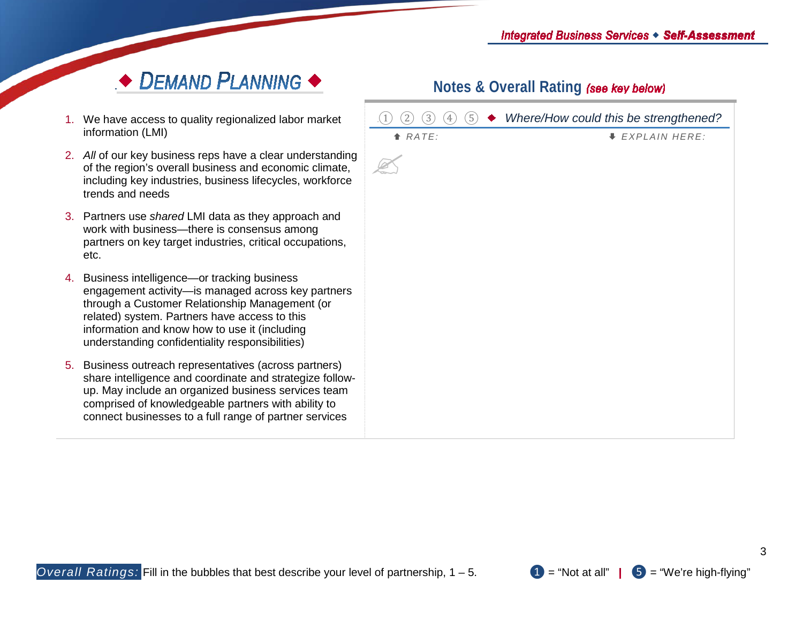## $\rightarrow$  DEMAND PLANNING  $\rightarrow$

- 1. We have access to quality regionalized labor market information (LMI)
- 2. All of our key business reps have a clear understand of the region's overall business and economic climat including key industries, business lifecycles, workfor trends and needs
- 3. Partners use *shared* LMI data as they approach and work with business—there is consensus among partners on key target industries, critical occupations etc.
- 4. Business intelligence—or tracking business engagement activity—is managed across key partners through a Customer Relationship Management (or related) system. Partners have access to this information and know how to use it (including understanding confidentiality responsibilities)
- 5. Business outreach representatives (across partners) share intelligence and coordinate and strategize follo up. May include an organized business services tea comprised of knowledgeable partners with ability to connect businesses to a full range of partner service

| ,t                     | $\circled{5}$<br>$\left(3\right)$<br>$\left( 4\right)$<br>$\overline{2}$<br>$\,1$ | ◆ Where/How could this be strengthened? |
|------------------------|-----------------------------------------------------------------------------------|-----------------------------------------|
|                        | RATE:                                                                             | <i>EXPLAIN HERE:</i>                    |
| ding<br>ıte,<br>rce    |                                                                                   |                                         |
| þ                      |                                                                                   |                                         |
| ıS,                    |                                                                                   |                                         |
| ers                    |                                                                                   |                                         |
| ;)<br>low-<br>ım<br>es |                                                                                   |                                         |
|                        |                                                                                   |                                         |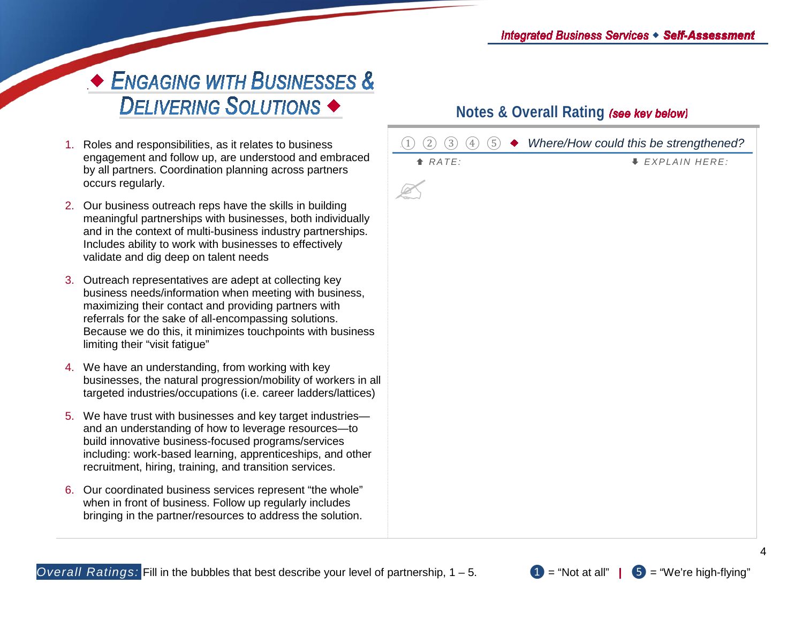# ← ENGAGING WITH BUSINESSES & DELIVERING SOLUTIONS <

- 1. Roles and responsibilities, as it relates to business engagement and follow up, are understood and embraced by all partners. Coordination planning across partners occurs regularly.
- 2. Our business outreach reps have the skills in building meaningful partnerships with businesses, both individually and in the context of multi-business industry partnerships. Includes ability to work with businesses to effectively validate and dig deep on talent needs
- 3. Outreach representatives are adept at collecting key business needs/information when meeting with business, maximizing their contact and providing partners with referrals for the sake of all-encompassing solutions. Because we do this, it minimizes touchpoints with business limiting their "visit fatigue"
- 4. We have an understanding, from working with key businesses, the natural progression/mobility of workers in all targeted industries/occupations (i.e. career ladders/lattices)
- 5. We have trust with businesses and key target industries and an understanding of how to leverage resources—to build innovative business-focused programs/services including: work-based learning, apprenticeships, and other recruitment, hiring, training, and transition services.
- 6. Our coordinated business services represent "the whole" when in front of business. Follow up regularly includes bringing in the partner/resources to address the solution.

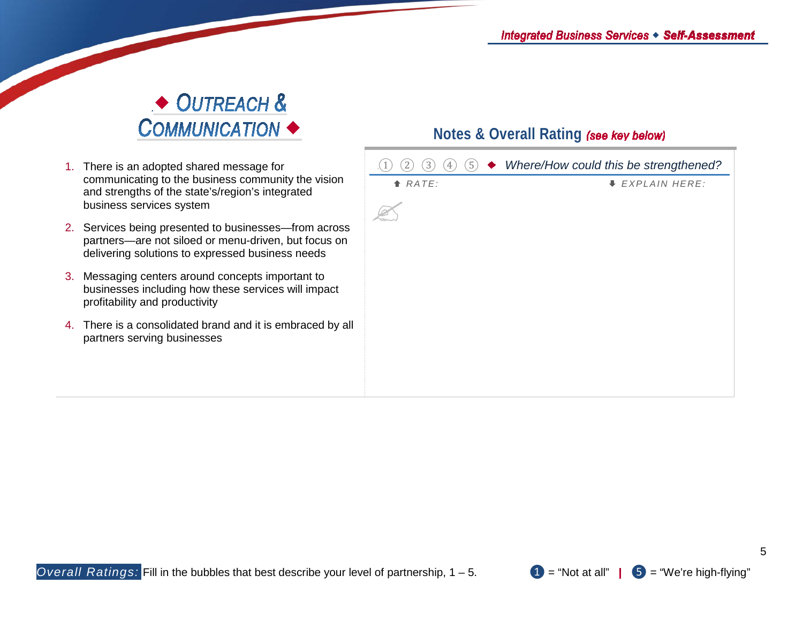# ◆ OUTREACH & COMMUNICATION <

- 1. There is an adopted shared message for communicating to the business community the vision and strengths of the state's/region's integrated business services system
- 2. Services being presented to businesses—from across partners—are not siloed or menu-driven, but focus on delivering solutions to expressed business needs
- 3. Messaging centers around concepts important to businesses including how these services will impact profitability and productivity
- 4. There is a consolidated brand and it is embraced by all partners serving businesses

| (5)<br>$[3]$<br>$\left(4\right)$<br>2 | ◆ Where/How could this be strengthened? |
|---------------------------------------|-----------------------------------------|
| $A$ RATE:                             | <b>↓ EXPLAIN HERE:</b>                  |
|                                       |                                         |
|                                       |                                         |
|                                       |                                         |
|                                       |                                         |
|                                       |                                         |
|                                       |                                         |
|                                       |                                         |
|                                       |                                         |